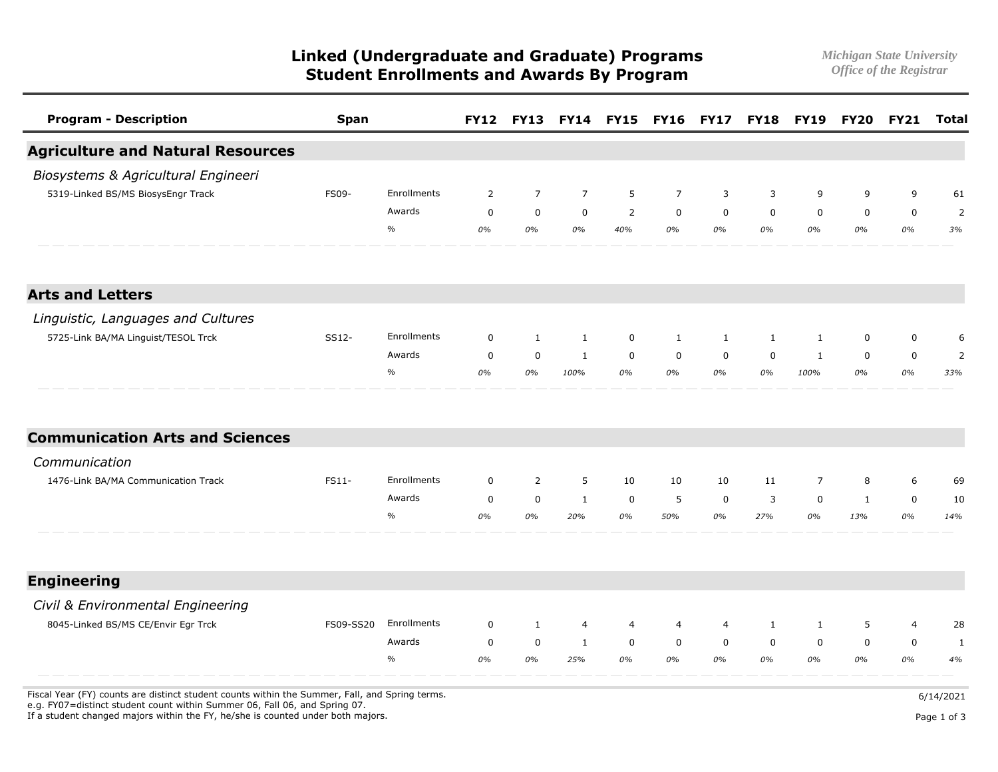**Linked (Undergraduate and Graduate) Programs** *Michigan State University*  **Student Enrollments and Awards By Program** 

| <b>Program - Description</b>             | <b>Span</b> |             |             | <b>FY12 FY13</b> |                | <b>FY14 FY15 FY16</b> |                |                | <b>FY17 FY18 FY19</b> |                | <b>FY20</b>  | <b>FY21</b>    | <b>Total</b>   |
|------------------------------------------|-------------|-------------|-------------|------------------|----------------|-----------------------|----------------|----------------|-----------------------|----------------|--------------|----------------|----------------|
| <b>Agriculture and Natural Resources</b> |             |             |             |                  |                |                       |                |                |                       |                |              |                |                |
| Biosystems & Agricultural Engineeri      |             |             |             |                  |                |                       |                |                |                       |                |              |                |                |
| 5319-Linked BS/MS BiosysEngr Track       | FS09-       | Enrollments | 2           | $\overline{7}$   | $\overline{7}$ | 5                     | $\overline{7}$ | 3              | 3                     | 9              | 9            | 9              | 61             |
|                                          |             | Awards      | $\mathbf 0$ | $\mathbf 0$      | $\mathsf{O}$   | $\overline{2}$        | $\mathbf 0$    | $\mathbf 0$    | $\mathbf 0$           | $\mathbf 0$    | $\mathsf 0$  | $\pmb{0}$      | $\overline{2}$ |
|                                          |             | $\%$        | 0%          | 0%               | 0%             | 40%                   | 0%             | 0%             | 0%                    | 0%             | 0%           | 0%             | 3%             |
| <b>Arts and Letters</b>                  |             |             |             |                  |                |                       |                |                |                       |                |              |                |                |
| Linguistic, Languages and Cultures       |             |             |             |                  |                |                       |                |                |                       |                |              |                |                |
| 5725-Link BA/MA Linguist/TESOL Trck      | SS12-       | Enrollments | $\mathbf 0$ | 1                | $\mathbf{1}$   | $\mathbf 0$           | 1              | $\mathbf{1}$   | $\mathbf{1}$          | 1              | $\mathbf 0$  | $\mathbf 0$    | 6              |
|                                          |             | Awards      | $\mathbf 0$ | $\mathbf 0$      | 1              | $\mathbf 0$           | $\mathbf 0$    | $\mathbf 0$    | $\mathbf 0$           | 1              | $\mathbf 0$  | $\mathbf 0$    | $\overline{2}$ |
|                                          |             | $\%$        | 0%          | 0%               | 100%           | 0%                    | 0%             | 0%             | 0%                    | 100%           | 0%           | 0%             | 33%            |
| <b>Communication Arts and Sciences</b>   |             |             |             |                  |                |                       |                |                |                       |                |              |                |                |
| Communication                            |             |             |             |                  |                |                       |                |                |                       |                |              |                |                |
| 1476-Link BA/MA Communication Track      | FS11-       | Enrollments | 0           | $\overline{2}$   | 5              | 10                    | 10             | 10             | 11                    | $\overline{7}$ | 8            | 6              | 69             |
|                                          |             | Awards      | $\mathbf 0$ | $\mathbf 0$      | $\mathbf{1}$   | $\mathbf 0$           | 5              | $\mathbf 0$    | 3                     | $\mathbf 0$    | $\mathbf{1}$ | $\mathbf 0$    | 10             |
|                                          |             | $\%$        | 0%          | 0%               | 20%            | 0%                    | 50%            | 0%             | 27%                   | 0%             | 13%          | 0%             | 14%            |
| <b>Engineering</b>                       |             |             |             |                  |                |                       |                |                |                       |                |              |                |                |
| Civil & Environmental Engineering        |             |             |             |                  |                |                       |                |                |                       |                |              |                |                |
| 8045-Linked BS/MS CE/Envir Egr Trck      | FS09-SS20   | Enrollments | $\mathbf 0$ | $\mathbf{1}$     | 4              | $\overline{4}$        | $\overline{4}$ | $\overline{4}$ | $\mathbf{1}$          | $\mathbf{1}$   | 5            | $\overline{4}$ | 28             |
|                                          |             | Awards      | $\mathbf 0$ | $\mathbf 0$      | $\mathbf{1}$   | $\mathbf 0$           | $\mathbf 0$    | $\mathbf 0$    | $\mathbf 0$           | $\mathbf 0$    | $\mathbf 0$  | $\mathbf 0$    | $\mathbf{1}$   |
|                                          |             | $\%$        | 0%          | 0%               | 25%            | 0%                    | 0%             | 0%             | 0%                    | 0%             | 0%           | 0%             | 4%             |

Fiscal Year (FY) counts are distinct student counts within the Summer, Fall, and Spring terms.  $6/14/2021$ 

e.g. FY07=distinct student count within Summer 06, Fall 06, and Spring 07.

If a student changed majors within the FY, he/she is counted under both majors. Page 1 of 3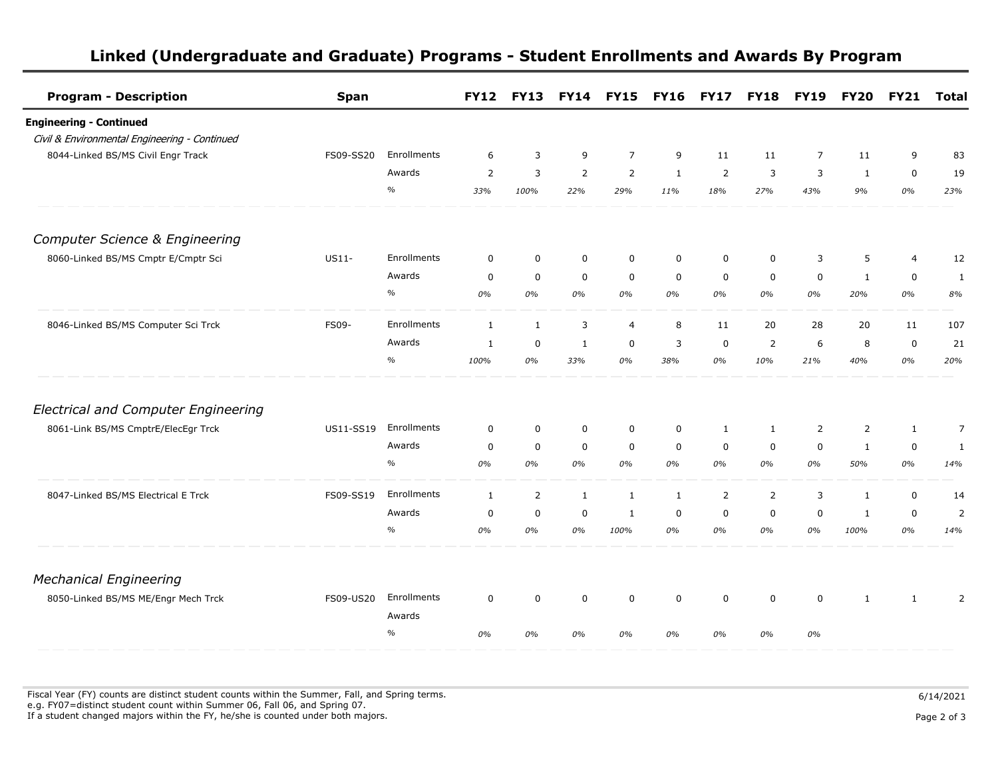| <b>Program - Description</b>                  | <b>Span</b>      |               | <b>FY12</b>    | <b>FY13</b>    | <b>FY14</b>    | <b>FY15</b>    | <b>FY16</b>  | <b>FY17</b>    | <b>FY18</b>    | <b>FY19</b>    | <b>FY20</b>    | <b>FY21</b>    | <b>Total</b>   |
|-----------------------------------------------|------------------|---------------|----------------|----------------|----------------|----------------|--------------|----------------|----------------|----------------|----------------|----------------|----------------|
| <b>Engineering - Continued</b>                |                  |               |                |                |                |                |              |                |                |                |                |                |                |
| Civil & Environmental Engineering - Continued |                  |               |                |                |                |                |              |                |                |                |                |                |                |
| 8044-Linked BS/MS Civil Engr Track            | FS09-SS20        | Enrollments   | 6              | $\overline{3}$ | 9              | $\overline{7}$ | 9            | 11             | 11             | $\overline{7}$ | 11             | 9              | 83             |
|                                               |                  | Awards        | $\overline{2}$ | 3              | $\overline{2}$ | 2              | $\mathbf{1}$ | $\overline{2}$ | 3              | 3              | $\mathbf{1}$   | $\mathbf 0$    | 19             |
|                                               |                  | $\frac{o}{o}$ | 33%            | 100%           | 22%            | 29%            | 11%          | 18%            | 27%            | 43%            | 9%             | 0%             | 23%            |
| <b>Computer Science &amp; Engineering</b>     |                  |               |                |                |                |                |              |                |                |                |                |                |                |
| 8060-Linked BS/MS Cmptr E/Cmptr Sci           | US11-            | Enrollments   | 0              | $\mathbf 0$    | $\mathbf 0$    | $\mathbf 0$    | $\mathbf 0$  | 0              | 0              | 3              | 5              | $\overline{4}$ | 12             |
|                                               |                  | Awards        | 0              | $\mathbf 0$    | $\mathbf 0$    | $\mathbf 0$    | $\mathbf 0$  | $\mathbf 0$    | 0              | $\mathbf 0$    | $\mathbf{1}$   | $\mathbf 0$    | 1              |
|                                               |                  | $\%$          | 0%             | 0%             | 0%             | 0%             | 0%           | 0%             | 0%             | 0%             | 20%            | 0%             | 8%             |
| 8046-Linked BS/MS Computer Sci Trck           | FS09-            | Enrollments   | $\mathbf{1}$   | $\mathbf{1}$   | 3              | $\overline{4}$ | 8            | 11             | 20             | 28             | 20             | 11             | 107            |
|                                               |                  | Awards        | 1              | $\mathbf 0$    | 1              | $\mathbf 0$    | 3            | 0              | 2              | 6              | 8              | $\mathbf 0$    | 21             |
|                                               |                  | $\%$          | 100%           | 0%             | 33%            | 0%             | 38%          | 0%             | 10%            | 21%            | 40%            | 0%             | 20%            |
| <b>Electrical and Computer Engineering</b>    |                  |               |                |                |                |                |              |                |                |                |                |                |                |
| 8061-Link BS/MS CmptrE/ElecEgr Trck           | <b>US11-SS19</b> | Enrollments   | 0              | $\mathbf 0$    | $\mathbf 0$    | $\mathbf 0$    | $\mathbf 0$  | $\mathbf{1}$   | $\mathbf{1}$   | $\overline{2}$ | $\overline{2}$ | $\mathbf{1}$   | $\overline{7}$ |
|                                               |                  | Awards        | 0              | $\mathbf 0$    | $\mathbf 0$    | $\mathbf 0$    | $\mathbf 0$  | $\mathbf 0$    | $\mathbf 0$    | $\mathbf 0$    | $\mathbf{1}$   | $\mathsf 0$    | $\mathbf{1}$   |
|                                               |                  | $\frac{o}{o}$ | 0%             | 0%             | 0%             | 0%             | 0%           | 0%             | 0%             | 0%             | 50%            | 0%             | 14%            |
| 8047-Linked BS/MS Electrical E Trck           | FS09-SS19        | Enrollments   | $\mathbf{1}$   | 2              | $\mathbf{1}$   | $\mathbf{1}$   | $\mathbf{1}$ | 2              | $\overline{2}$ | 3              | $\mathbf{1}$   | $\mathsf 0$    | 14             |
|                                               |                  | Awards        | 0              | $\mathbf 0$    | $\mathbf 0$    | $\mathbf{1}$   | $\mathbf 0$  | $\mathbf 0$    | $\mathbf 0$    | $\mathbf 0$    | $\mathbf{1}$   | $\mathbf 0$    | $\overline{2}$ |
|                                               |                  | $\%$          | 0%             | 0%             | 0%             | 100%           | 0%           | 0%             | 0%             | 0%             | 100%           | 0%             | 14%            |
| <b>Mechanical Engineering</b>                 |                  |               |                |                |                |                |              |                |                |                |                |                |                |
| 8050-Linked BS/MS ME/Engr Mech Trck           | FS09-US20        | Enrollments   | 0              | $\mathbf 0$    | $\mathbf 0$    | $\mathbf 0$    | $\mathbf 0$  | $\mathbf 0$    | $\mathbf 0$    | $\mathbf 0$    | $\mathbf{1}$   | $\mathbf{1}$   | 2              |
|                                               |                  | Awards        |                |                |                |                |              |                |                |                |                |                |                |
|                                               |                  | $\%$          | 0%             | 0%             | 0%             | 0%             | 0%           | 0%             | 0%             | 0%             |                |                |                |

## **Linked (Undergraduate and Graduate) Programs - Student Enrollments and Awards By Program**

Fiscal Year (FY) counts are distinct student counts within the Summer, Fall, and Spring terms.  $6/14/2021$  e.g. FY07=distinct student count within Summer 06, Fall 06, and Spring 07. If a student changed majors within the FY, he/she is counted under both majors. Page 2 of 3